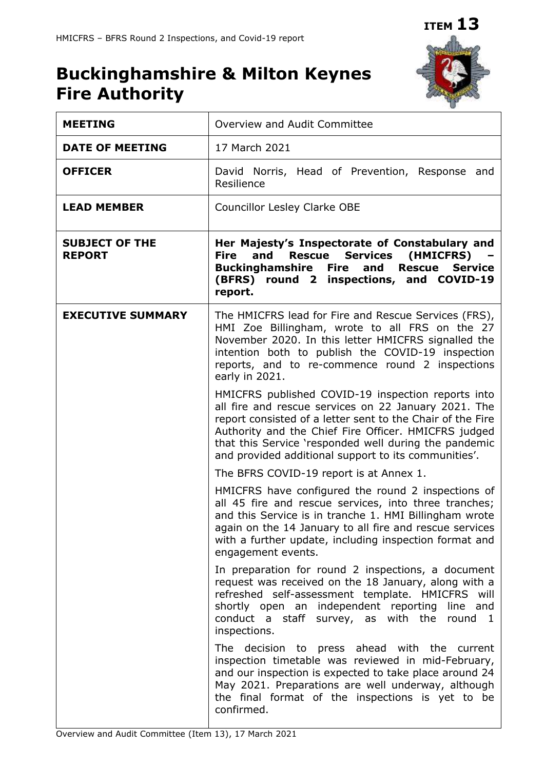

# **Buckinghamshire & Milton Keynes Fire Authority**

| <b>MEETING</b>                         | Overview and Audit Committee                                                                                                                                                                                                                                                                                                                      |
|----------------------------------------|---------------------------------------------------------------------------------------------------------------------------------------------------------------------------------------------------------------------------------------------------------------------------------------------------------------------------------------------------|
| <b>DATE OF MEETING</b>                 | 17 March 2021                                                                                                                                                                                                                                                                                                                                     |
| <b>OFFICER</b>                         | David Norris, Head of Prevention, Response and<br>Resilience                                                                                                                                                                                                                                                                                      |
| <b>LEAD MEMBER</b>                     | <b>Councillor Lesley Clarke OBE</b>                                                                                                                                                                                                                                                                                                               |
| <b>SUBJECT OF THE</b><br><b>REPORT</b> | Her Majesty's Inspectorate of Constabulary and<br><b>Services</b><br>(HMICFRS)<br><b>Fire</b><br>and<br><b>Rescue</b><br><b>Rescue</b><br><b>Buckinghamshire</b><br><b>Fire</b><br>and<br><b>Service</b><br>(BFRS) round 2 inspections, and COVID-19<br>report.                                                                                   |
| <b>EXECUTIVE SUMMARY</b>               | The HMICFRS lead for Fire and Rescue Services (FRS),<br>HMI Zoe Billingham, wrote to all FRS on the 27<br>November 2020. In this letter HMICFRS signalled the<br>intention both to publish the COVID-19 inspection<br>reports, and to re-commence round 2 inspections<br>early in 2021.                                                           |
|                                        | HMICFRS published COVID-19 inspection reports into<br>all fire and rescue services on 22 January 2021. The<br>report consisted of a letter sent to the Chair of the Fire<br>Authority and the Chief Fire Officer. HMICFRS judged<br>that this Service 'responded well during the pandemic<br>and provided additional support to its communities'. |
|                                        | The BFRS COVID-19 report is at Annex 1.                                                                                                                                                                                                                                                                                                           |
|                                        | HMICFRS have configured the round 2 inspections of<br>all 45 fire and rescue services, into three tranches;<br>and this Service is in tranche 1. HMI Billingham wrote<br>again on the 14 January to all fire and rescue services<br>with a further update, including inspection format and<br>engagement events.                                  |
|                                        | In preparation for round 2 inspections, a document<br>request was received on the 18 January, along with a<br>refreshed self-assessment template. HMICFRS will<br>shortly open an independent reporting<br>line and<br>conduct a staff survey, as with the<br>round 1<br>inspections.                                                             |
|                                        | The decision to press ahead with the current<br>inspection timetable was reviewed in mid-February,<br>and our inspection is expected to take place around 24<br>May 2021. Preparations are well underway, although<br>the final format of the inspections is yet to be<br>confirmed.                                                              |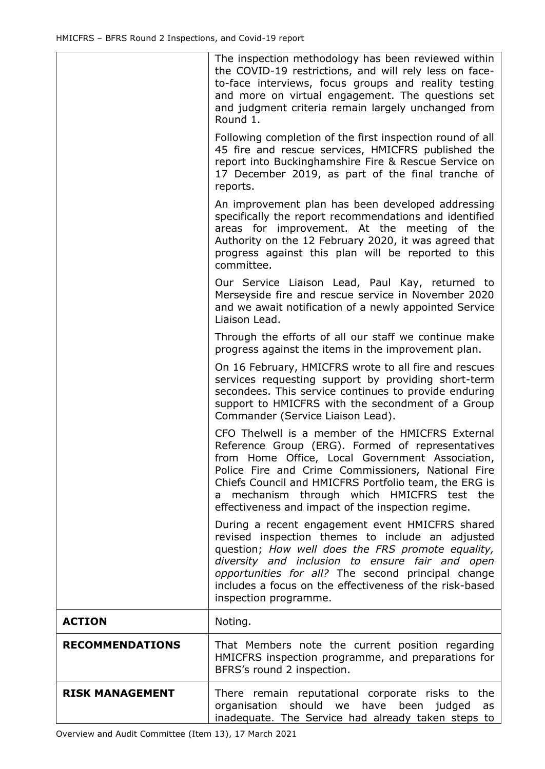|                        | The inspection methodology has been reviewed within<br>the COVID-19 restrictions, and will rely less on face-<br>to-face interviews, focus groups and reality testing<br>and more on virtual engagement. The questions set<br>and judgment criteria remain largely unchanged from<br>Round 1.                                                                            |
|------------------------|--------------------------------------------------------------------------------------------------------------------------------------------------------------------------------------------------------------------------------------------------------------------------------------------------------------------------------------------------------------------------|
|                        | Following completion of the first inspection round of all<br>45 fire and rescue services, HMICFRS published the<br>report into Buckinghamshire Fire & Rescue Service on<br>17 December 2019, as part of the final tranche of<br>reports.                                                                                                                                 |
|                        | An improvement plan has been developed addressing<br>specifically the report recommendations and identified<br>areas for improvement. At the meeting of the<br>Authority on the 12 February 2020, it was agreed that<br>progress against this plan will be reported to this<br>committee.                                                                                |
|                        | Our Service Liaison Lead, Paul Kay, returned to<br>Merseyside fire and rescue service in November 2020<br>and we await notification of a newly appointed Service<br>Liaison Lead.                                                                                                                                                                                        |
|                        | Through the efforts of all our staff we continue make<br>progress against the items in the improvement plan.                                                                                                                                                                                                                                                             |
|                        | On 16 February, HMICFRS wrote to all fire and rescues<br>services requesting support by providing short-term<br>secondees. This service continues to provide enduring<br>support to HMICFRS with the secondment of a Group<br>Commander (Service Liaison Lead).                                                                                                          |
|                        | CFO Thelwell is a member of the HMICFRS External<br>Reference Group (ERG). Formed of representatives<br>from Home Office, Local Government Association,<br>Police Fire and Crime Commissioners, National Fire<br>Chiefs Council and HMICFRS Portfolio team, the ERG is<br>mechanism through which HMICFRS test the<br>effectiveness and impact of the inspection regime. |
|                        | During a recent engagement event HMICFRS shared<br>revised inspection themes to include an adjusted<br>question; How well does the FRS promote equality,<br>diversity and inclusion to ensure fair and open<br>opportunities for all? The second principal change<br>includes a focus on the effectiveness of the risk-based<br>inspection programme.                    |
| <b>ACTION</b>          | Noting.                                                                                                                                                                                                                                                                                                                                                                  |
| <b>RECOMMENDATIONS</b> | That Members note the current position regarding<br>HMICFRS inspection programme, and preparations for<br>BFRS's round 2 inspection.                                                                                                                                                                                                                                     |
| <b>RISK MANAGEMENT</b> | There remain reputational corporate risks to the<br>organisation<br>should we<br>have<br>been<br>judged<br>as<br>inadequate. The Service had already taken steps to                                                                                                                                                                                                      |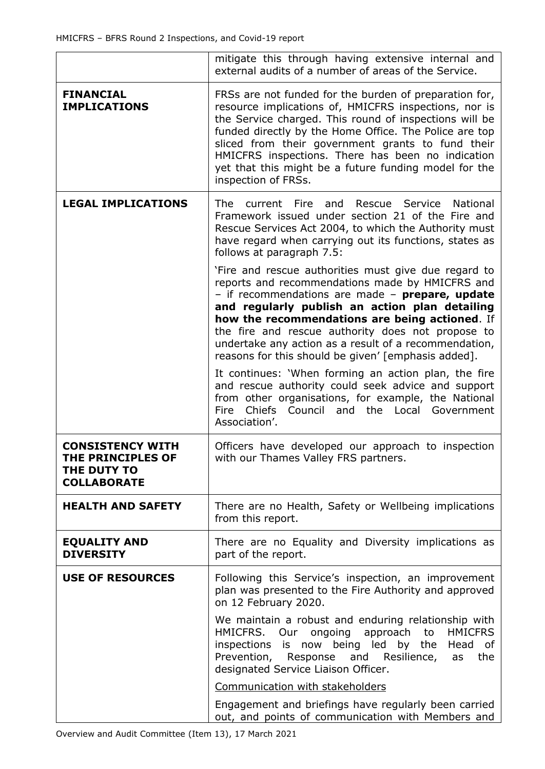|                                                                                   | mitigate this through having extensive internal and<br>external audits of a number of areas of the Service.                                                                                                                                                                                                                                                                                                                                                                                                                                                                                                                                                                                                                                                                                                                                                                                                                                                        |  |
|-----------------------------------------------------------------------------------|--------------------------------------------------------------------------------------------------------------------------------------------------------------------------------------------------------------------------------------------------------------------------------------------------------------------------------------------------------------------------------------------------------------------------------------------------------------------------------------------------------------------------------------------------------------------------------------------------------------------------------------------------------------------------------------------------------------------------------------------------------------------------------------------------------------------------------------------------------------------------------------------------------------------------------------------------------------------|--|
| <b>FINANCIAL</b><br><b>IMPLICATIONS</b>                                           | FRSs are not funded for the burden of preparation for,<br>resource implications of, HMICFRS inspections, nor is<br>the Service charged. This round of inspections will be<br>funded directly by the Home Office. The Police are top<br>sliced from their government grants to fund their<br>HMICFRS inspections. There has been no indication<br>yet that this might be a future funding model for the<br>inspection of FRSs.                                                                                                                                                                                                                                                                                                                                                                                                                                                                                                                                      |  |
| <b>LEGAL IMPLICATIONS</b>                                                         | Fire<br>Rescue<br>Service<br><b>National</b><br>The .<br>current<br>and<br>Framework issued under section 21 of the Fire and<br>Rescue Services Act 2004, to which the Authority must<br>have regard when carrying out its functions, states as<br>follows at paragraph 7.5:<br>'Fire and rescue authorities must give due regard to<br>reports and recommendations made by HMICFRS and<br>- if recommendations are made - prepare, update<br>and regularly publish an action plan detailing<br>how the recommendations are being actioned. If<br>the fire and rescue authority does not propose to<br>undertake any action as a result of a recommendation,<br>reasons for this should be given' [emphasis added].<br>It continues: 'When forming an action plan, the fire<br>and rescue authority could seek advice and support<br>from other organisations, for example, the National<br>Council and the Local<br>Chiefs<br>Fire<br>Government<br>Association'. |  |
| <b>CONSISTENCY WITH</b><br>THE PRINCIPLES OF<br>THE DUTY TO<br><b>COLLABORATE</b> | Officers have developed our approach to inspection<br>with our Thames Valley FRS partners.                                                                                                                                                                                                                                                                                                                                                                                                                                                                                                                                                                                                                                                                                                                                                                                                                                                                         |  |
| <b>HEALTH AND SAFETY</b>                                                          | There are no Health, Safety or Wellbeing implications<br>from this report.                                                                                                                                                                                                                                                                                                                                                                                                                                                                                                                                                                                                                                                                                                                                                                                                                                                                                         |  |
| <b>EQUALITY AND</b><br><b>DIVERSITY</b>                                           | There are no Equality and Diversity implications as<br>part of the report.                                                                                                                                                                                                                                                                                                                                                                                                                                                                                                                                                                                                                                                                                                                                                                                                                                                                                         |  |
| <b>USE OF RESOURCES</b>                                                           | Following this Service's inspection, an improvement<br>plan was presented to the Fire Authority and approved<br>on 12 February 2020.<br>We maintain a robust and enduring relationship with                                                                                                                                                                                                                                                                                                                                                                                                                                                                                                                                                                                                                                                                                                                                                                        |  |
|                                                                                   | HMICFRS. Our ongoing approach to<br><b>HMICFRS</b><br>inspections is now being led by the Head of<br>Prevention, Response and Resilience,<br>the<br>as<br>designated Service Liaison Officer.                                                                                                                                                                                                                                                                                                                                                                                                                                                                                                                                                                                                                                                                                                                                                                      |  |
|                                                                                   | Communication with stakeholders                                                                                                                                                                                                                                                                                                                                                                                                                                                                                                                                                                                                                                                                                                                                                                                                                                                                                                                                    |  |
|                                                                                   | Engagement and briefings have regularly been carried<br>out, and points of communication with Members and                                                                                                                                                                                                                                                                                                                                                                                                                                                                                                                                                                                                                                                                                                                                                                                                                                                          |  |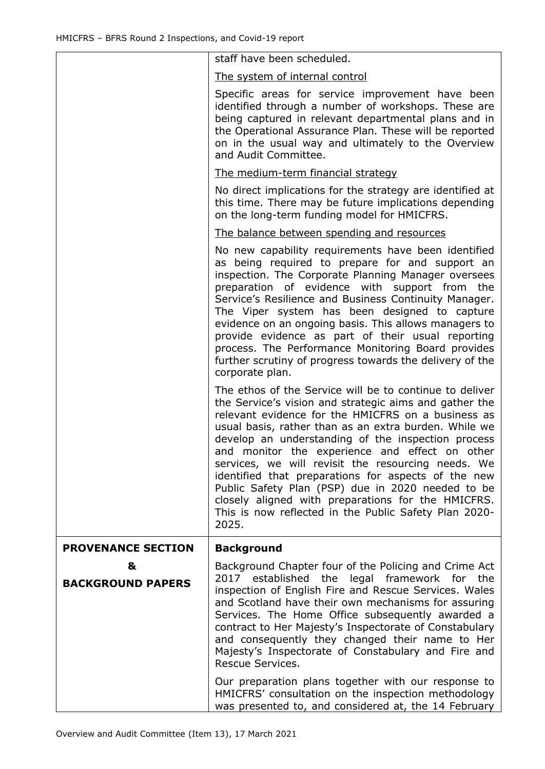|                               | staff have been scheduled.                                                                                                                                                                                                                                                                                                                                                                                                                                                                                                                                                                                                         |
|-------------------------------|------------------------------------------------------------------------------------------------------------------------------------------------------------------------------------------------------------------------------------------------------------------------------------------------------------------------------------------------------------------------------------------------------------------------------------------------------------------------------------------------------------------------------------------------------------------------------------------------------------------------------------|
|                               | The system of internal control                                                                                                                                                                                                                                                                                                                                                                                                                                                                                                                                                                                                     |
|                               | Specific areas for service improvement have been<br>identified through a number of workshops. These are<br>being captured in relevant departmental plans and in<br>the Operational Assurance Plan. These will be reported<br>on in the usual way and ultimately to the Overview<br>and Audit Committee.                                                                                                                                                                                                                                                                                                                            |
|                               | <u>The medium-term financial strategy</u>                                                                                                                                                                                                                                                                                                                                                                                                                                                                                                                                                                                          |
|                               | No direct implications for the strategy are identified at<br>this time. There may be future implications depending<br>on the long-term funding model for HMICFRS.                                                                                                                                                                                                                                                                                                                                                                                                                                                                  |
|                               | The balance between spending and resources                                                                                                                                                                                                                                                                                                                                                                                                                                                                                                                                                                                         |
|                               | No new capability requirements have been identified<br>as being required to prepare for and support an<br>inspection. The Corporate Planning Manager oversees<br>preparation of evidence with support from the<br>Service's Resilience and Business Continuity Manager.<br>The Viper system has been designed to capture<br>evidence on an ongoing basis. This allows managers to<br>provide evidence as part of their usual reporting<br>process. The Performance Monitoring Board provides<br>further scrutiny of progress towards the delivery of the<br>corporate plan.                                                        |
|                               | The ethos of the Service will be to continue to deliver<br>the Service's vision and strategic aims and gather the<br>relevant evidence for the HMICFRS on a business as<br>usual basis, rather than as an extra burden. While we<br>develop an understanding of the inspection process<br>and monitor the experience and effect on other<br>services, we will revisit the resourcing needs. We<br>identified that preparations for aspects of the new<br>Public Safety Plan (PSP) due in 2020 needed to be<br>closely aligned with preparations for the HMICFRS.<br>This is now reflected in the Public Safety Plan 2020-<br>2025. |
| <b>PROVENANCE SECTION</b>     | <b>Background</b>                                                                                                                                                                                                                                                                                                                                                                                                                                                                                                                                                                                                                  |
| &<br><b>BACKGROUND PAPERS</b> | Background Chapter four of the Policing and Crime Act<br>2017 established the legal framework for the<br>inspection of English Fire and Rescue Services. Wales<br>and Scotland have their own mechanisms for assuring<br>Services. The Home Office subsequently awarded a<br>contract to Her Majesty's Inspectorate of Constabulary<br>and consequently they changed their name to Her<br>Majesty's Inspectorate of Constabulary and Fire and<br>Rescue Services.                                                                                                                                                                  |
|                               | Our preparation plans together with our response to<br>HMICFRS' consultation on the inspection methodology<br>was presented to, and considered at, the 14 February                                                                                                                                                                                                                                                                                                                                                                                                                                                                 |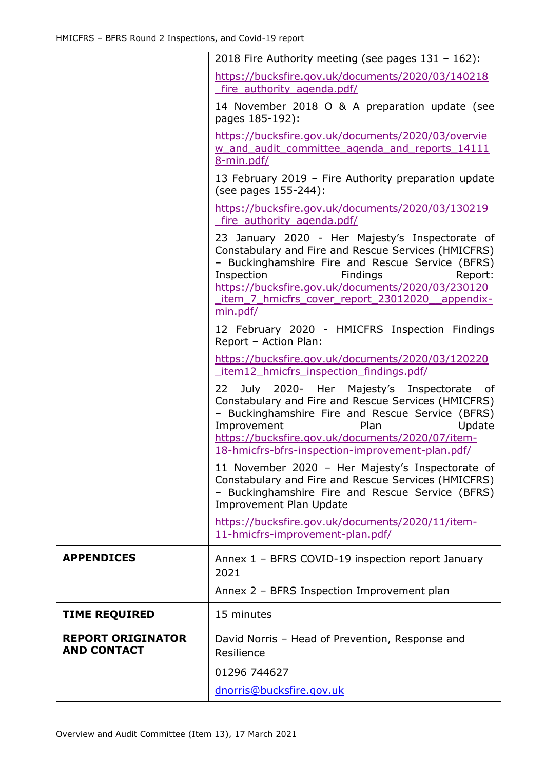|                                                | 2018 Fire Authority meeting (see pages $131 - 162$ ):                                                                                                                                                                                                                                                              |
|------------------------------------------------|--------------------------------------------------------------------------------------------------------------------------------------------------------------------------------------------------------------------------------------------------------------------------------------------------------------------|
|                                                | https://bucksfire.gov.uk/documents/2020/03/140218<br>fire authority agenda.pdf/                                                                                                                                                                                                                                    |
|                                                | 14 November 2018 O & A preparation update (see<br>pages 185-192):                                                                                                                                                                                                                                                  |
|                                                | https://bucksfire.gov.uk/documents/2020/03/overvie<br>w and audit committee agenda and reports 14111<br>8-min.pdf/                                                                                                                                                                                                 |
|                                                | 13 February 2019 - Fire Authority preparation update<br>(see pages 155-244):                                                                                                                                                                                                                                       |
|                                                | https://bucksfire.gov.uk/documents/2020/03/130219<br>fire authority agenda.pdf/                                                                                                                                                                                                                                    |
|                                                | 23 January 2020 - Her Majesty's Inspectorate of<br>Constabulary and Fire and Rescue Services (HMICFRS)<br>- Buckinghamshire Fire and Rescue Service (BFRS)<br>Inspection<br>Findings<br>Report:<br>https://bucksfire.gov.uk/documents/2020/03/230120<br>item 7 hmicfrs cover report 23012020 appendix-<br>min.pdf/ |
|                                                | 12 February 2020 - HMICFRS Inspection Findings<br>Report - Action Plan:                                                                                                                                                                                                                                            |
|                                                | https://bucksfire.gov.uk/documents/2020/03/120220<br>item12 hmicfrs inspection findings.pdf/                                                                                                                                                                                                                       |
|                                                | July 2020- Her Majesty's Inspectorate<br>22<br>of<br>Constabulary and Fire and Rescue Services (HMICFRS)<br>- Buckinghamshire Fire and Rescue Service (BFRS)<br>Improvement<br>Plan<br>Update<br>https://bucksfire.gov.uk/documents/2020/07/item-<br>18-hmicfrs-bfrs-inspection-improvement-plan.pdf/              |
|                                                | 11 November 2020 - Her Majesty's Inspectorate of<br>Constabulary and Fire and Rescue Services (HMICFRS)<br>- Buckinghamshire Fire and Rescue Service (BFRS)<br><b>Improvement Plan Update</b>                                                                                                                      |
|                                                | https://bucksfire.gov.uk/documents/2020/11/item-<br>11-hmicfrs-improvement-plan.pdf/                                                                                                                                                                                                                               |
| <b>APPENDICES</b>                              | Annex 1 - BFRS COVID-19 inspection report January<br>2021                                                                                                                                                                                                                                                          |
|                                                | Annex 2 - BFRS Inspection Improvement plan                                                                                                                                                                                                                                                                         |
| <b>TIME REQUIRED</b>                           | 15 minutes                                                                                                                                                                                                                                                                                                         |
| <b>REPORT ORIGINATOR</b><br><b>AND CONTACT</b> | David Norris - Head of Prevention, Response and<br>Resilience                                                                                                                                                                                                                                                      |
|                                                | 01296 744627                                                                                                                                                                                                                                                                                                       |
|                                                | dnorris@bucksfire.gov.uk                                                                                                                                                                                                                                                                                           |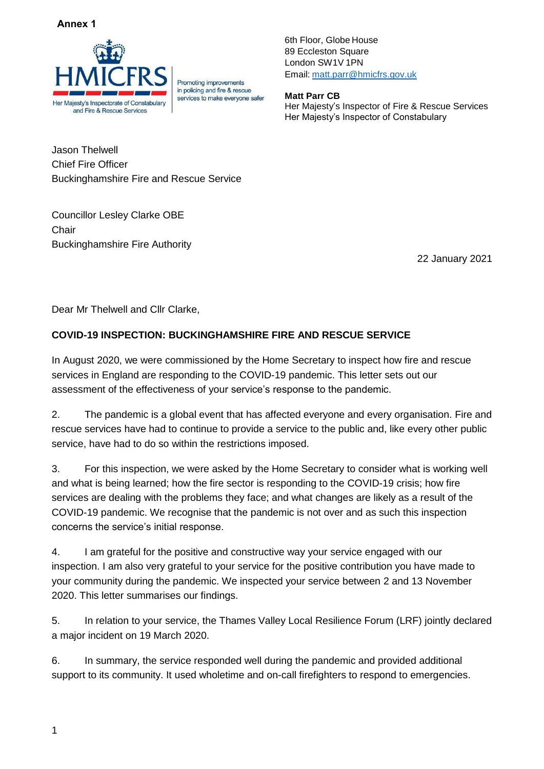#### **Annex 1**



**Promoting improvements** in policing and fire & rescue services to make everyone safer 6th Floor, Globe House 89 Eccleston Square London SW1V 1PN Email: [matt.parr@hmicfrs.gov.uk](mailto:matt.parr@hmicfrs.gov.uk)

**Matt Parr CB** Her Majesty's Inspector of Fire & Rescue Services Her Majesty's Inspector of Constabulary

Jason Thelwell Chief Fire Officer Buckinghamshire Fire and Rescue Service

Councillor Lesley Clarke OBE **Chair** Buckinghamshire Fire Authority

22 January 2021

Dear Mr Thelwell and Cllr Clarke,

# **COVID-19 INSPECTION: BUCKINGHAMSHIRE FIRE AND RESCUE SERVICE**

In August 2020, we were commissioned by the Home Secretary to inspect how fire and rescue services in England are responding to the COVID-19 pandemic. This letter sets out our assessment of the effectiveness of your service's response to the pandemic.

2. The pandemic is a global event that has affected everyone and every organisation. Fire and rescue services have had to continue to provide a service to the public and, like every other public service, have had to do so within the restrictions imposed.

3. For this inspection, we were asked by the Home Secretary to consider what is working well and what is being learned; how the fire sector is responding to the COVID-19 crisis; how fire services are dealing with the problems they face; and what changes are likely as a result of the COVID-19 pandemic. We recognise that the pandemic is not over and as such this inspection concerns the service's initial response.

4. I am grateful for the positive and constructive way your service engaged with our inspection. I am also very grateful to your service for the positive contribution you have made to your community during the pandemic. We inspected your service between 2 and 13 November 2020. This letter summarises our findings.

5. In relation to your service, the Thames Valley Local Resilience Forum (LRF) jointly declared a major incident on 19 March 2020.

6. In summary, the service responded well during the pandemic and provided additional support to its community. It used wholetime and on-call firefighters to respond to emergencies.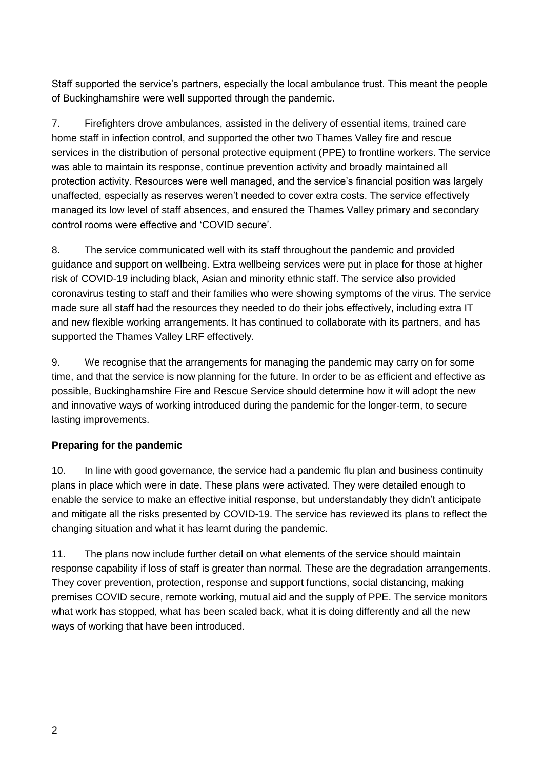Staff supported the service's partners, especially the local ambulance trust. This meant the people of Buckinghamshire were well supported through the pandemic.

7. Firefighters drove ambulances, assisted in the delivery of essential items, trained care home staff in infection control, and supported the other two Thames Valley fire and rescue services in the distribution of personal protective equipment (PPE) to frontline workers. The service was able to maintain its response, continue prevention activity and broadly maintained all protection activity. Resources were well managed, and the service's financial position was largely unaffected, especially as reserves weren't needed to cover extra costs. The service effectively managed its low level of staff absences, and ensured the Thames Valley primary and secondary control rooms were effective and 'COVID secure'.

8. The service communicated well with its staff throughout the pandemic and provided guidance and support on wellbeing. Extra wellbeing services were put in place for those at higher risk of COVID-19 including black, Asian and minority ethnic staff. The service also provided coronavirus testing to staff and their families who were showing symptoms of the virus. The service made sure all staff had the resources they needed to do their jobs effectively, including extra IT and new flexible working arrangements. It has continued to collaborate with its partners, and has supported the Thames Valley LRF effectively.

9. We recognise that the arrangements for managing the pandemic may carry on for some time, and that the service is now planning for the future. In order to be as efficient and effective as possible, Buckinghamshire Fire and Rescue Service should determine how it will adopt the new and innovative ways of working introduced during the pandemic for the longer-term, to secure lasting improvements.

# **Preparing for the pandemic**

10. In line with good governance, the service had a pandemic flu plan and business continuity plans in place which were in date. These plans were activated. They were detailed enough to enable the service to make an effective initial response, but understandably they didn't anticipate and mitigate all the risks presented by COVID-19. The service has reviewed its plans to reflect the changing situation and what it has learnt during the pandemic.

11. The plans now include further detail on what elements of the service should maintain response capability if loss of staff is greater than normal. These are the degradation arrangements. They cover prevention, protection, response and support functions, social distancing, making premises COVID secure, remote working, mutual aid and the supply of PPE. The service monitors what work has stopped, what has been scaled back, what it is doing differently and all the new ways of working that have been introduced.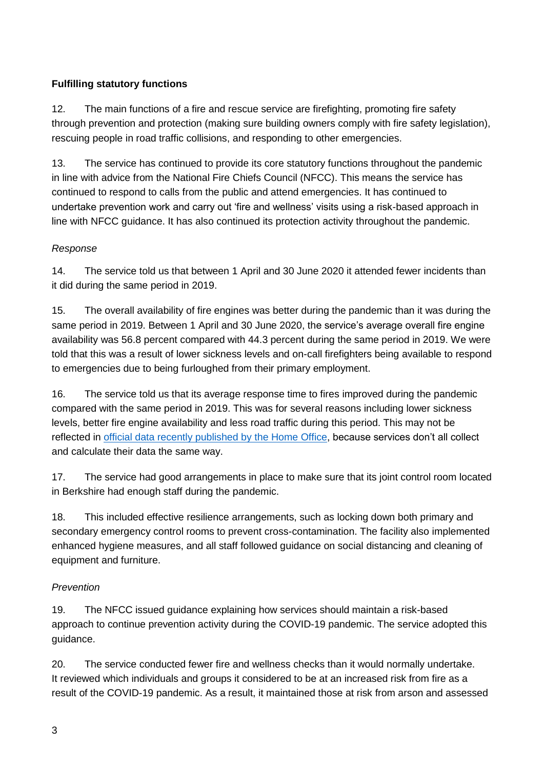# **Fulfilling statutory functions**

12. The main functions of a fire and rescue service are firefighting, promoting fire safety through prevention and protection (making sure building owners comply with fire safety legislation), rescuing people in road traffic collisions, and responding to other emergencies.

13. The service has continued to provide its core statutory functions throughout the pandemic in line with advice from the National Fire Chiefs Council (NFCC). This means the service has continued to respond to calls from the public and attend emergencies. It has continued to undertake prevention work and carry out 'fire and wellness' visits using a risk-based approach in line with NFCC guidance. It has also continued its protection activity throughout the pandemic.

### *Response*

14. The service told us that between 1 April and 30 June 2020 it attended fewer incidents than it did during the same period in 2019.

15. The overall availability of fire engines was better during the pandemic than it was during the same period in 2019. Between 1 April and 30 June 2020, the service's average overall fire engine availability was 56.8 percent compared with 44.3 percent during the same period in 2019. We were told that this was a result of lower sickness levels and on-call firefighters being available to respond to emergencies due to being furloughed from their primary employment.

16. The service told us that its average response time to fires improved during the pandemic compared with the same period in 2019. This was for several reasons including lower sickness levels, better fire engine availability and less road traffic during this period. This may not be reflected in [official data recently published by the Home Office,](https://www.gov.uk/government/statistics/response-times-to-fires-attended-by-fire-and-rescue-services-england-april-2018-to-march-2019) because services don't all collect and calculate their data the same way.

17. The service had good arrangements in place to make sure that its joint control room located in Berkshire had enough staff during the pandemic.

18. This included effective resilience arrangements, such as locking down both primary and secondary emergency control rooms to prevent cross-contamination. The facility also implemented enhanced hygiene measures, and all staff followed guidance on social distancing and cleaning of equipment and furniture.

### *Prevention*

19. The NFCC issued guidance explaining how services should maintain a risk-based approach to continue prevention activity during the COVID-19 pandemic. The service adopted this guidance.

20. The service conducted fewer fire and wellness checks than it would normally undertake. It reviewed which individuals and groups it considered to be at an increased risk from fire as a result of the COVID-19 pandemic. As a result, it maintained those at risk from arson and assessed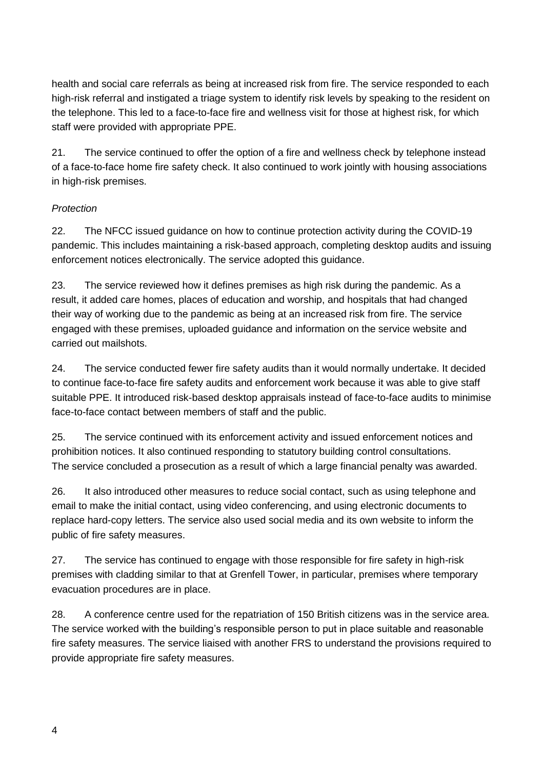health and social care referrals as being at increased risk from fire. The service responded to each high-risk referral and instigated a triage system to identify risk levels by speaking to the resident on the telephone. This led to a face-to-face fire and wellness visit for those at highest risk, for which staff were provided with appropriate PPE.

21. The service continued to offer the option of a fire and wellness check by telephone instead of a face-to-face home fire safety check. It also continued to work jointly with housing associations in high-risk premises.

# *Protection*

22. The NFCC issued guidance on how to continue protection activity during the COVID-19 pandemic. This includes maintaining a risk-based approach, completing desktop audits and issuing enforcement notices electronically. The service adopted this guidance.

23. The service reviewed how it defines premises as high risk during the pandemic. As a result, it added care homes, places of education and worship, and hospitals that had changed their way of working due to the pandemic as being at an increased risk from fire. The service engaged with these premises, uploaded guidance and information on the service website and carried out mailshots.

24. The service conducted fewer fire safety audits than it would normally undertake. It decided to continue face-to-face fire safety audits and enforcement work because it was able to give staff suitable PPE. It introduced risk-based desktop appraisals instead of face-to-face audits to minimise face-to-face contact between members of staff and the public.

25. The service continued with its enforcement activity and issued enforcement notices and prohibition notices. It also continued responding to statutory building control consultations. The service concluded a prosecution as a result of which a large financial penalty was awarded.

26. It also introduced other measures to reduce social contact, such as using telephone and email to make the initial contact, using video conferencing, and using electronic documents to replace hard-copy letters. The service also used social media and its own website to inform the public of fire safety measures.

27. The service has continued to engage with those responsible for fire safety in high-risk premises with cladding similar to that at Grenfell Tower, in particular, premises where temporary evacuation procedures are in place.

28. A conference centre used for the repatriation of 150 British citizens was in the service area. The service worked with the building's responsible person to put in place suitable and reasonable fire safety measures. The service liaised with another FRS to understand the provisions required to provide appropriate fire safety measures.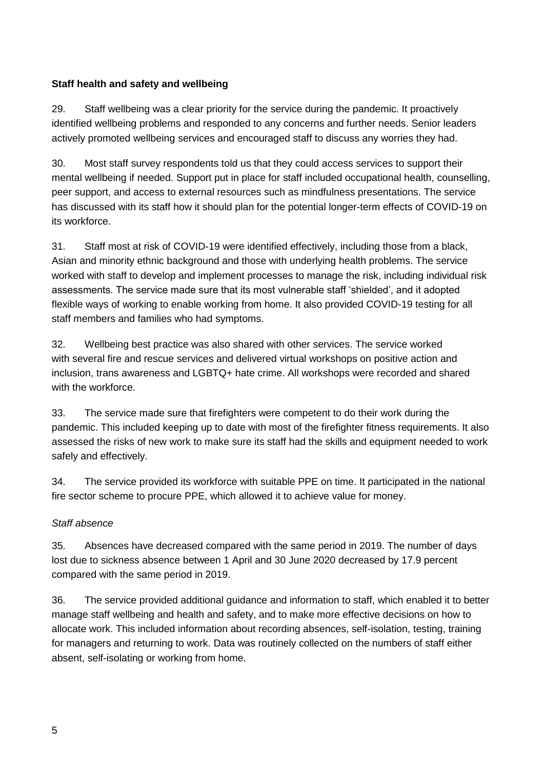### **Staff health and safety and wellbeing**

29. Staff wellbeing was a clear priority for the service during the pandemic. It proactively identified wellbeing problems and responded to any concerns and further needs. Senior leaders actively promoted wellbeing services and encouraged staff to discuss any worries they had.

30. Most staff survey respondents told us that they could access services to support their mental wellbeing if needed. Support put in place for staff included occupational health, counselling, peer support, and access to external resources such as mindfulness presentations. The service has discussed with its staff how it should plan for the potential longer-term effects of COVID-19 on its workforce.

31. Staff most at risk of COVID-19 were identified effectively, including those from a black, Asian and minority ethnic background and those with underlying health problems. The service worked with staff to develop and implement processes to manage the risk, including individual risk assessments. The service made sure that its most vulnerable staff 'shielded', and it adopted flexible ways of working to enable working from home. It also provided COVID-19 testing for all staff members and families who had symptoms.

32. Wellbeing best practice was also shared with other services. The service worked with several fire and rescue services and delivered virtual workshops on positive action and inclusion, trans awareness and LGBTQ+ hate crime. All workshops were recorded and shared with the workforce.

33. The service made sure that firefighters were competent to do their work during the pandemic. This included keeping up to date with most of the firefighter fitness requirements. It also assessed the risks of new work to make sure its staff had the skills and equipment needed to work safely and effectively.

34. The service provided its workforce with suitable PPE on time. It participated in the national fire sector scheme to procure PPE, which allowed it to achieve value for money.

### *Staff absence*

35. Absences have decreased compared with the same period in 2019. The number of days lost due to sickness absence between 1 April and 30 June 2020 decreased by 17.9 percent compared with the same period in 2019.

36. The service provided additional guidance and information to staff, which enabled it to better manage staff wellbeing and health and safety, and to make more effective decisions on how to allocate work. This included information about recording absences, self-isolation, testing, training for managers and returning to work. Data was routinely collected on the numbers of staff either absent, self-isolating or working from home.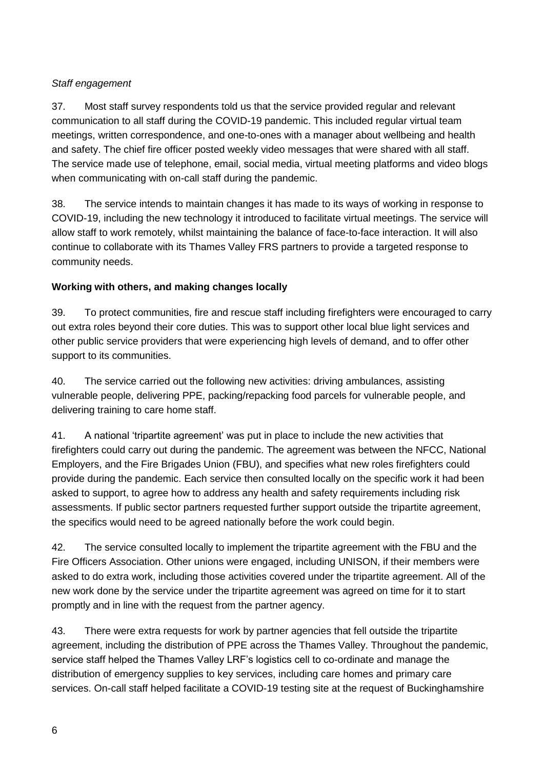# *Staff engagement*

37. Most staff survey respondents told us that the service provided regular and relevant communication to all staff during the COVID-19 pandemic. This included regular virtual team meetings, written correspondence, and one-to-ones with a manager about wellbeing and health and safety. The chief fire officer posted weekly video messages that were shared with all staff. The service made use of telephone, email, social media, virtual meeting platforms and video blogs when communicating with on-call staff during the pandemic.

38. The service intends to maintain changes it has made to its ways of working in response to COVID-19, including the new technology it introduced to facilitate virtual meetings. The service will allow staff to work remotely, whilst maintaining the balance of face-to-face interaction. It will also continue to collaborate with its Thames Valley FRS partners to provide a targeted response to community needs.

# **Working with others, and making changes locally**

39. To protect communities, fire and rescue staff including firefighters were encouraged to carry out extra roles beyond their core duties. This was to support other local blue light services and other public service providers that were experiencing high levels of demand, and to offer other support to its communities.

40. The service carried out the following new activities: driving ambulances, assisting vulnerable people, delivering PPE, packing/repacking food parcels for vulnerable people, and delivering training to care home staff.

41. A national 'tripartite agreement' was put in place to include the new activities that firefighters could carry out during the pandemic. The agreement was between the NFCC, National Employers, and the Fire Brigades Union (FBU), and specifies what new roles firefighters could provide during the pandemic. Each service then consulted locally on the specific work it had been asked to support, to agree how to address any health and safety requirements including risk assessments. If public sector partners requested further support outside the tripartite agreement, the specifics would need to be agreed nationally before the work could begin.

42. The service consulted locally to implement the tripartite agreement with the FBU and the Fire Officers Association. Other unions were engaged, including UNISON, if their members were asked to do extra work, including those activities covered under the tripartite agreement. All of the new work done by the service under the tripartite agreement was agreed on time for it to start promptly and in line with the request from the partner agency.

43. There were extra requests for work by partner agencies that fell outside the tripartite agreement, including the distribution of PPE across the Thames Valley. Throughout the pandemic, service staff helped the Thames Valley LRF's logistics cell to co-ordinate and manage the distribution of emergency supplies to key services, including care homes and primary care services. On-call staff helped facilitate a COVID-19 testing site at the request of Buckinghamshire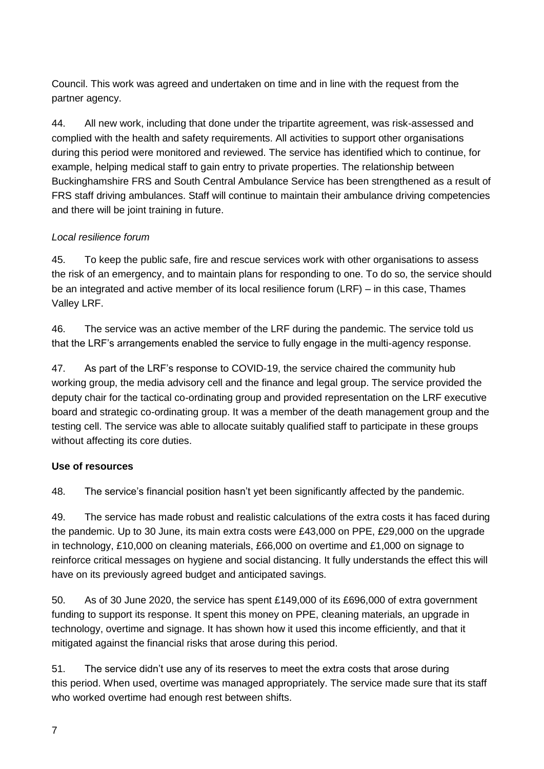Council. This work was agreed and undertaken on time and in line with the request from the partner agency.

44. All new work, including that done under the tripartite agreement, was risk-assessed and complied with the health and safety requirements. All activities to support other organisations during this period were monitored and reviewed. The service has identified which to continue, for example, helping medical staff to gain entry to private properties. The relationship between Buckinghamshire FRS and South Central Ambulance Service has been strengthened as a result of FRS staff driving ambulances. Staff will continue to maintain their ambulance driving competencies and there will be joint training in future.

# *Local resilience forum*

45. To keep the public safe, fire and rescue services work with other organisations to assess the risk of an emergency, and to maintain plans for responding to one. To do so, the service should be an integrated and active member of its local resilience forum (LRF) – in this case, Thames Valley LRF.

46. The service was an active member of the LRF during the pandemic. The service told us that the LRF's arrangements enabled the service to fully engage in the multi-agency response.

47. As part of the LRF's response to COVID-19, the service chaired the community hub working group, the media advisory cell and the finance and legal group. The service provided the deputy chair for the tactical co-ordinating group and provided representation on the LRF executive board and strategic co-ordinating group. It was a member of the death management group and the testing cell. The service was able to allocate suitably qualified staff to participate in these groups without affecting its core duties.

### **Use of resources**

48. The service's financial position hasn't yet been significantly affected by the pandemic.

49. The service has made robust and realistic calculations of the extra costs it has faced during the pandemic. Up to 30 June, its main extra costs were £43,000 on PPE, £29,000 on the upgrade in technology, £10,000 on cleaning materials, £66,000 on overtime and £1,000 on signage to reinforce critical messages on hygiene and social distancing. It fully understands the effect this will have on its previously agreed budget and anticipated savings.

50. As of 30 June 2020, the service has spent £149,000 of its £696,000 of extra government funding to support its response. It spent this money on PPE, cleaning materials, an upgrade in technology, overtime and signage. It has shown how it used this income efficiently, and that it mitigated against the financial risks that arose during this period.

51. The service didn't use any of its reserves to meet the extra costs that arose during this period. When used, overtime was managed appropriately. The service made sure that its staff who worked overtime had enough rest between shifts.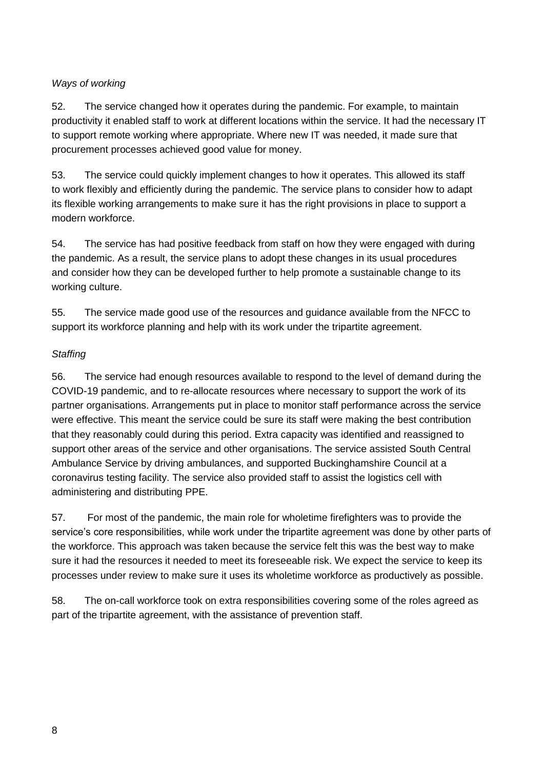### *Ways of working*

52. The service changed how it operates during the pandemic. For example, to maintain productivity it enabled staff to work at different locations within the service. It had the necessary IT to support remote working where appropriate. Where new IT was needed, it made sure that procurement processes achieved good value for money.

53. The service could quickly implement changes to how it operates. This allowed its staff to work flexibly and efficiently during the pandemic. The service plans to consider how to adapt its flexible working arrangements to make sure it has the right provisions in place to support a modern workforce.

54. The service has had positive feedback from staff on how they were engaged with during the pandemic. As a result, the service plans to adopt these changes in its usual procedures and consider how they can be developed further to help promote a sustainable change to its working culture.

55. The service made good use of the resources and guidance available from the NFCC to support its workforce planning and help with its work under the tripartite agreement.

### *Staffing*

56. The service had enough resources available to respond to the level of demand during the COVID-19 pandemic, and to re-allocate resources where necessary to support the work of its partner organisations. Arrangements put in place to monitor staff performance across the service were effective. This meant the service could be sure its staff were making the best contribution that they reasonably could during this period. Extra capacity was identified and reassigned to support other areas of the service and other organisations. The service assisted South Central Ambulance Service by driving ambulances, and supported Buckinghamshire Council at a coronavirus testing facility. The service also provided staff to assist the logistics cell with administering and distributing PPE.

57. For most of the pandemic, the main role for wholetime firefighters was to provide the service's core responsibilities, while work under the tripartite agreement was done by other parts of the workforce. This approach was taken because the service felt this was the best way to make sure it had the resources it needed to meet its foreseeable risk. We expect the service to keep its processes under review to make sure it uses its wholetime workforce as productively as possible.

58. The on-call workforce took on extra responsibilities covering some of the roles agreed as part of the tripartite agreement, with the assistance of prevention staff.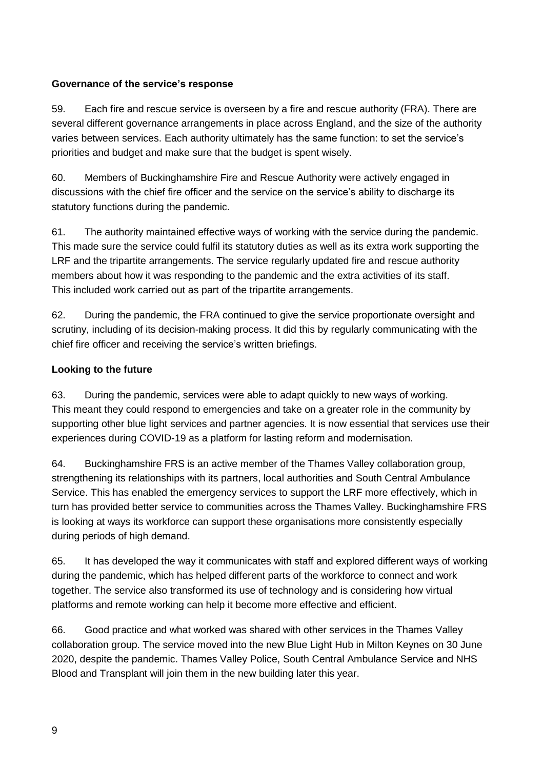### **Governance of the service's response**

59. Each fire and rescue service is overseen by a fire and rescue authority (FRA). There are several different governance arrangements in place across England, and the size of the authority varies between services. Each authority ultimately has the same function: to set the service's priorities and budget and make sure that the budget is spent wisely.

60. Members of Buckinghamshire Fire and Rescue Authority were actively engaged in discussions with the chief fire officer and the service on the service's ability to discharge its statutory functions during the pandemic.

61. The authority maintained effective ways of working with the service during the pandemic. This made sure the service could fulfil its statutory duties as well as its extra work supporting the LRF and the tripartite arrangements. The service regularly updated fire and rescue authority members about how it was responding to the pandemic and the extra activities of its staff. This included work carried out as part of the tripartite arrangements.

62. During the pandemic, the FRA continued to give the service proportionate oversight and scrutiny, including of its decision-making process. It did this by regularly communicating with the chief fire officer and receiving the service's written briefings.

### **Looking to the future**

63. During the pandemic, services were able to adapt quickly to new ways of working. This meant they could respond to emergencies and take on a greater role in the community by supporting other blue light services and partner agencies. It is now essential that services use their experiences during COVID-19 as a platform for lasting reform and modernisation.

64. Buckinghamshire FRS is an active member of the Thames Valley collaboration group, strengthening its relationships with its partners, local authorities and South Central Ambulance Service. This has enabled the emergency services to support the LRF more effectively, which in turn has provided better service to communities across the Thames Valley. Buckinghamshire FRS is looking at ways its workforce can support these organisations more consistently especially during periods of high demand.

65. It has developed the way it communicates with staff and explored different ways of working during the pandemic, which has helped different parts of the workforce to connect and work together. The service also transformed its use of technology and is considering how virtual platforms and remote working can help it become more effective and efficient.

66. Good practice and what worked was shared with other services in the Thames Valley collaboration group. The service moved into the new Blue Light Hub in Milton Keynes on 30 June 2020, despite the pandemic. Thames Valley Police, South Central Ambulance Service and NHS Blood and Transplant will join them in the new building later this year.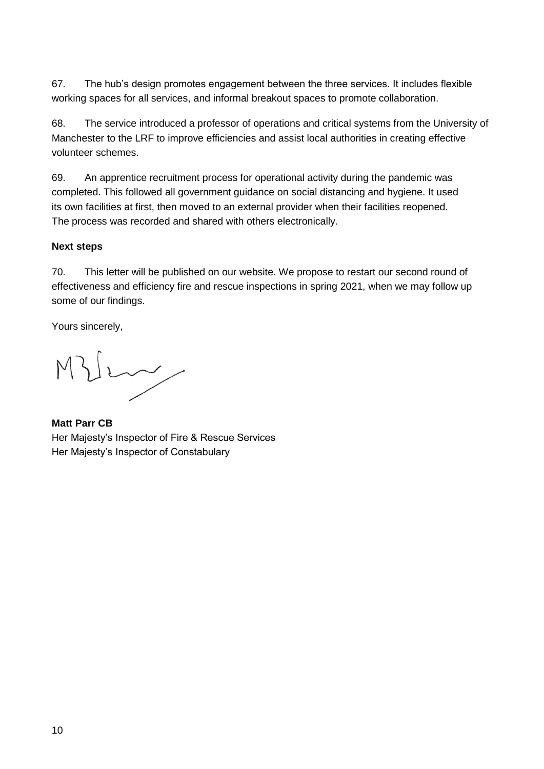67. The hub's design promotes engagement between the three services. It includes flexible working spaces for all services, and informal breakout spaces to promote collaboration.

68. The service introduced a professor of operations and critical systems from the University of Manchester to the LRF to improve efficiencies and assist local authorities in creating effective volunteer schemes.

69. An apprentice recruitment process for operational activity during the pandemic was completed. This followed all government guidance on social distancing and hygiene. It used its own facilities at first, then moved to an external provider when their facilities reopened. The process was recorded and shared with others electronically.

### **Next steps**

70. This letter will be published on our website. We propose to restart our second round of effectiveness and efficiency fire and rescue inspections in spring 2021, when we may follow up some of our findings.

Yours sincerely,

Very

**Matt Parr CB** Her Majesty's Inspector of Fire & Rescue Services Her Majesty's Inspector of Constabulary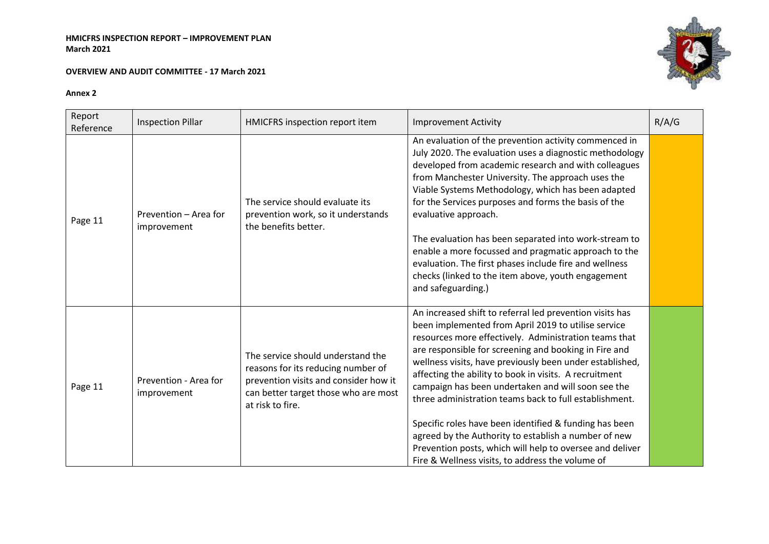#### **OVERVIEW AND AUDIT COMMITTEE - 17 March 2021**



| Report<br>Reference | <b>Inspection Pillar</b>             | HMICFRS inspection report item                                                                                                                                               | <b>Improvement Activity</b>                                                                                                                                                                                                                                                                                                                                                                                                                                                                                                                                                                                                                                                                               | R/A/G |
|---------------------|--------------------------------------|------------------------------------------------------------------------------------------------------------------------------------------------------------------------------|-----------------------------------------------------------------------------------------------------------------------------------------------------------------------------------------------------------------------------------------------------------------------------------------------------------------------------------------------------------------------------------------------------------------------------------------------------------------------------------------------------------------------------------------------------------------------------------------------------------------------------------------------------------------------------------------------------------|-------|
| Page 11             | Prevention - Area for<br>improvement | The service should evaluate its<br>prevention work, so it understands<br>the benefits better.                                                                                | An evaluation of the prevention activity commenced in<br>July 2020. The evaluation uses a diagnostic methodology<br>developed from academic research and with colleagues<br>from Manchester University. The approach uses the<br>Viable Systems Methodology, which has been adapted<br>for the Services purposes and forms the basis of the<br>evaluative approach.<br>The evaluation has been separated into work-stream to<br>enable a more focussed and pragmatic approach to the<br>evaluation. The first phases include fire and wellness<br>checks (linked to the item above, youth engagement<br>and safeguarding.)                                                                                |       |
| Page 11             | Prevention - Area for<br>improvement | The service should understand the<br>reasons for its reducing number of<br>prevention visits and consider how it<br>can better target those who are most<br>at risk to fire. | An increased shift to referral led prevention visits has<br>been implemented from April 2019 to utilise service<br>resources more effectively. Administration teams that<br>are responsible for screening and booking in Fire and<br>wellness visits, have previously been under established,<br>affecting the ability to book in visits. A recruitment<br>campaign has been undertaken and will soon see the<br>three administration teams back to full establishment.<br>Specific roles have been identified & funding has been<br>agreed by the Authority to establish a number of new<br>Prevention posts, which will help to oversee and deliver<br>Fire & Wellness visits, to address the volume of |       |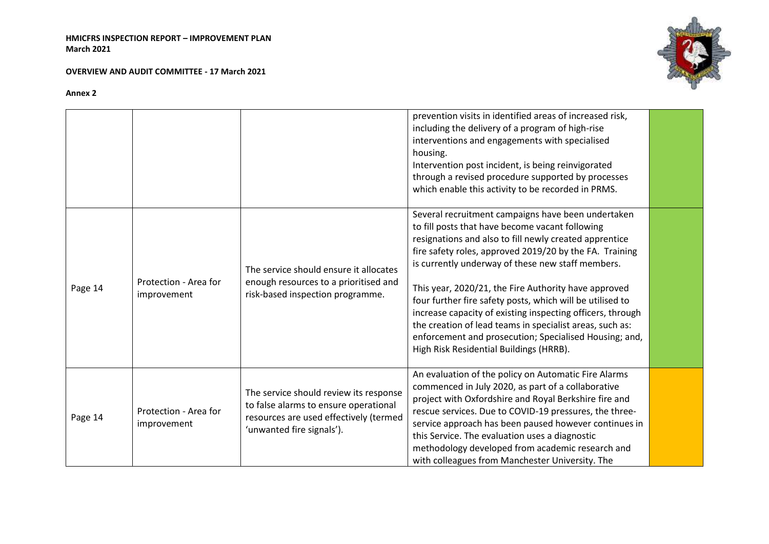**OVERVIEW AND AUDIT COMMITTEE - 17 March 2021**



|         |                                      |                                                                                                                                                        | prevention visits in identified areas of increased risk,<br>including the delivery of a program of high-rise<br>interventions and engagements with specialised<br>housing.<br>Intervention post incident, is being reinvigorated<br>through a revised procedure supported by processes<br>which enable this activity to be recorded in PRMS.                                                                                                                                                                                                                                                                                        |  |
|---------|--------------------------------------|--------------------------------------------------------------------------------------------------------------------------------------------------------|-------------------------------------------------------------------------------------------------------------------------------------------------------------------------------------------------------------------------------------------------------------------------------------------------------------------------------------------------------------------------------------------------------------------------------------------------------------------------------------------------------------------------------------------------------------------------------------------------------------------------------------|--|
| Page 14 | Protection - Area for<br>improvement | The service should ensure it allocates<br>enough resources to a prioritised and<br>risk-based inspection programme.                                    | Several recruitment campaigns have been undertaken<br>to fill posts that have become vacant following<br>resignations and also to fill newly created apprentice<br>fire safety roles, approved 2019/20 by the FA. Training<br>is currently underway of these new staff members.<br>This year, 2020/21, the Fire Authority have approved<br>four further fire safety posts, which will be utilised to<br>increase capacity of existing inspecting officers, through<br>the creation of lead teams in specialist areas, such as:<br>enforcement and prosecution; Specialised Housing; and,<br>High Risk Residential Buildings (HRRB). |  |
| Page 14 | Protection - Area for<br>improvement | The service should review its response<br>to false alarms to ensure operational<br>resources are used effectively (termed<br>'unwanted fire signals'). | An evaluation of the policy on Automatic Fire Alarms<br>commenced in July 2020, as part of a collaborative<br>project with Oxfordshire and Royal Berkshire fire and<br>rescue services. Due to COVID-19 pressures, the three-<br>service approach has been paused however continues in<br>this Service. The evaluation uses a diagnostic<br>methodology developed from academic research and<br>with colleagues from Manchester University. The                                                                                                                                                                                     |  |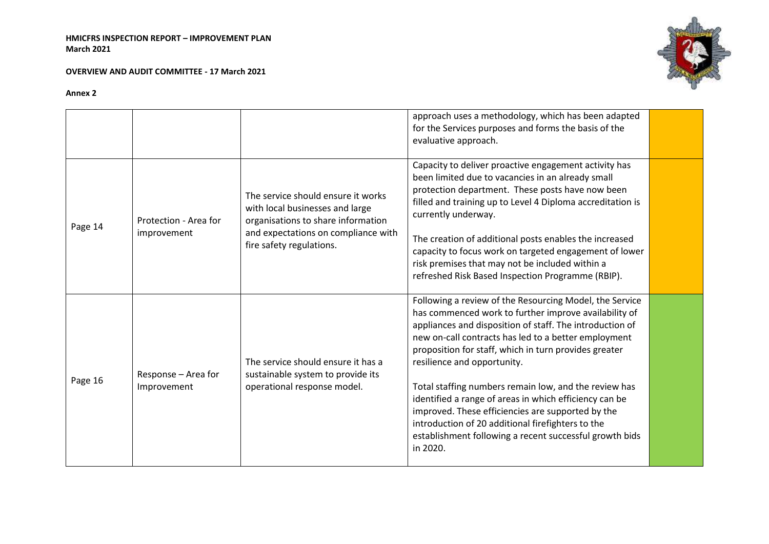**OVERVIEW AND AUDIT COMMITTEE - 17 March 2021**



|         |                                      |                                                                                                                                                                                | approach uses a methodology, which has been adapted<br>for the Services purposes and forms the basis of the<br>evaluative approach.                                                                                                                                                                                                                                                                                                                                                                                                                                                                                              |  |
|---------|--------------------------------------|--------------------------------------------------------------------------------------------------------------------------------------------------------------------------------|----------------------------------------------------------------------------------------------------------------------------------------------------------------------------------------------------------------------------------------------------------------------------------------------------------------------------------------------------------------------------------------------------------------------------------------------------------------------------------------------------------------------------------------------------------------------------------------------------------------------------------|--|
| Page 14 | Protection - Area for<br>improvement | The service should ensure it works<br>with local businesses and large<br>organisations to share information<br>and expectations on compliance with<br>fire safety regulations. | Capacity to deliver proactive engagement activity has<br>been limited due to vacancies in an already small<br>protection department. These posts have now been<br>filled and training up to Level 4 Diploma accreditation is<br>currently underway.<br>The creation of additional posts enables the increased<br>capacity to focus work on targeted engagement of lower<br>risk premises that may not be included within a<br>refreshed Risk Based Inspection Programme (RBIP).                                                                                                                                                  |  |
| Page 16 | Response - Area for<br>Improvement   | The service should ensure it has a<br>sustainable system to provide its<br>operational response model.                                                                         | Following a review of the Resourcing Model, the Service<br>has commenced work to further improve availability of<br>appliances and disposition of staff. The introduction of<br>new on-call contracts has led to a better employment<br>proposition for staff, which in turn provides greater<br>resilience and opportunity.<br>Total staffing numbers remain low, and the review has<br>identified a range of areas in which efficiency can be<br>improved. These efficiencies are supported by the<br>introduction of 20 additional firefighters to the<br>establishment following a recent successful growth bids<br>in 2020. |  |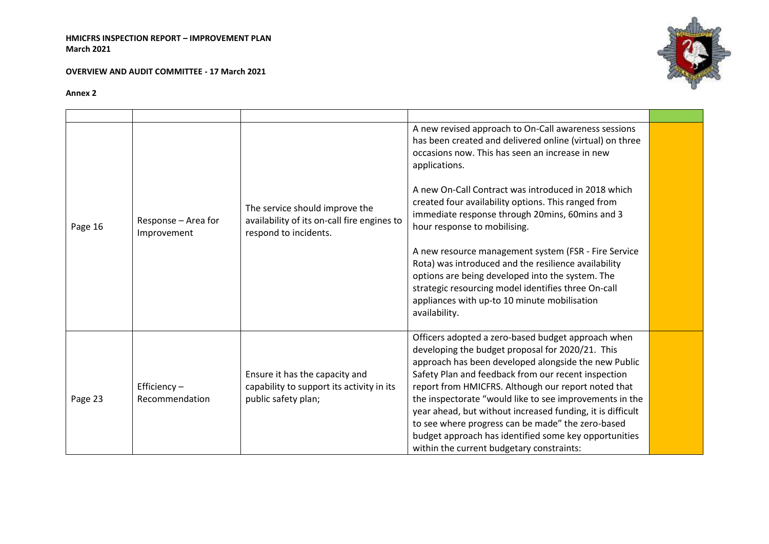**OVERVIEW AND AUDIT COMMITTEE - 17 March 2021**



|         |                                    |                                                                                                        | A new revised approach to On-Call awareness sessions<br>has been created and delivered online (virtual) on three<br>occasions now. This has seen an increase in new<br>applications.                                                                                                                                                                                                                                                                                                                                                                             |  |
|---------|------------------------------------|--------------------------------------------------------------------------------------------------------|------------------------------------------------------------------------------------------------------------------------------------------------------------------------------------------------------------------------------------------------------------------------------------------------------------------------------------------------------------------------------------------------------------------------------------------------------------------------------------------------------------------------------------------------------------------|--|
| Page 16 | Response - Area for<br>Improvement | The service should improve the<br>availability of its on-call fire engines to<br>respond to incidents. | A new On-Call Contract was introduced in 2018 which<br>created four availability options. This ranged from<br>immediate response through 20mins, 60mins and 3<br>hour response to mobilising.                                                                                                                                                                                                                                                                                                                                                                    |  |
|         |                                    |                                                                                                        | A new resource management system (FSR - Fire Service<br>Rota) was introduced and the resilience availability<br>options are being developed into the system. The<br>strategic resourcing model identifies three On-call<br>appliances with up-to 10 minute mobilisation<br>availability.                                                                                                                                                                                                                                                                         |  |
| Page 23 | Efficiency $-$<br>Recommendation   | Ensure it has the capacity and<br>capability to support its activity in its<br>public safety plan;     | Officers adopted a zero-based budget approach when<br>developing the budget proposal for 2020/21. This<br>approach has been developed alongside the new Public<br>Safety Plan and feedback from our recent inspection<br>report from HMICFRS. Although our report noted that<br>the inspectorate "would like to see improvements in the<br>year ahead, but without increased funding, it is difficult<br>to see where progress can be made" the zero-based<br>budget approach has identified some key opportunities<br>within the current budgetary constraints: |  |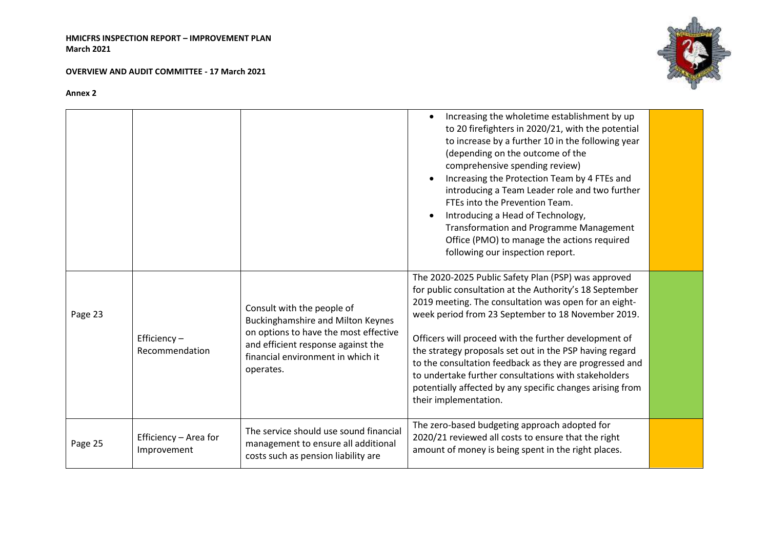**OVERVIEW AND AUDIT COMMITTEE - 17 March 2021**



|         |                                      |                                                                                                                                                                                                         | Increasing the wholetime establishment by up<br>to 20 firefighters in 2020/21, with the potential<br>to increase by a further 10 in the following year<br>(depending on the outcome of the<br>comprehensive spending review)<br>Increasing the Protection Team by 4 FTEs and<br>introducing a Team Leader role and two further<br>FTEs into the Prevention Team.<br>Introducing a Head of Technology,<br><b>Transformation and Programme Management</b><br>Office (PMO) to manage the actions required<br>following our inspection report.                 |  |
|---------|--------------------------------------|---------------------------------------------------------------------------------------------------------------------------------------------------------------------------------------------------------|------------------------------------------------------------------------------------------------------------------------------------------------------------------------------------------------------------------------------------------------------------------------------------------------------------------------------------------------------------------------------------------------------------------------------------------------------------------------------------------------------------------------------------------------------------|--|
| Page 23 | Efficiency-<br>Recommendation        | Consult with the people of<br><b>Buckinghamshire and Milton Keynes</b><br>on options to have the most effective<br>and efficient response against the<br>financial environment in which it<br>operates. | The 2020-2025 Public Safety Plan (PSP) was approved<br>for public consultation at the Authority's 18 September<br>2019 meeting. The consultation was open for an eight-<br>week period from 23 September to 18 November 2019.<br>Officers will proceed with the further development of<br>the strategy proposals set out in the PSP having regard<br>to the consultation feedback as they are progressed and<br>to undertake further consultations with stakeholders<br>potentially affected by any specific changes arising from<br>their implementation. |  |
| Page 25 | Efficiency - Area for<br>Improvement | The service should use sound financial<br>management to ensure all additional<br>costs such as pension liability are                                                                                    | The zero-based budgeting approach adopted for<br>2020/21 reviewed all costs to ensure that the right<br>amount of money is being spent in the right places.                                                                                                                                                                                                                                                                                                                                                                                                |  |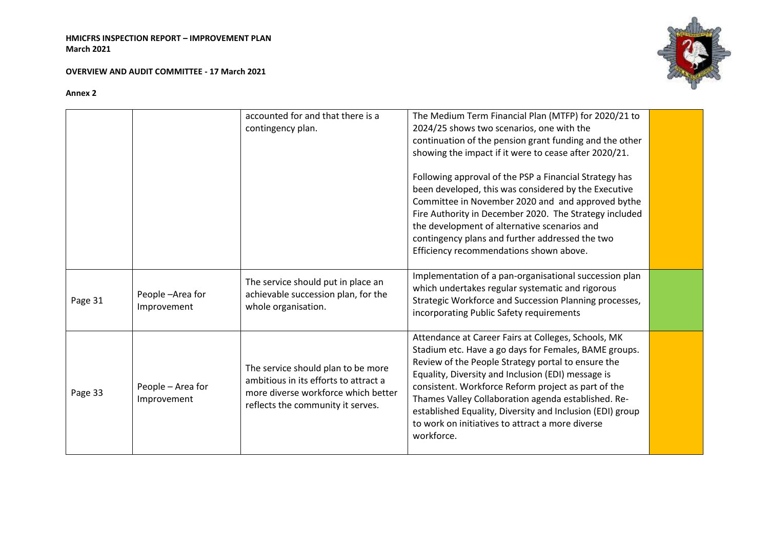#### **OVERVIEW AND AUDIT COMMITTEE - 17 March 2021**



|         |                                  | accounted for and that there is a<br>contingency plan.                                                                                                  | The Medium Term Financial Plan (MTFP) for 2020/21 to<br>2024/25 shows two scenarios, one with the<br>continuation of the pension grant funding and the other<br>showing the impact if it were to cease after 2020/21.<br>Following approval of the PSP a Financial Strategy has<br>been developed, this was considered by the Executive<br>Committee in November 2020 and and approved bythe<br>Fire Authority in December 2020. The Strategy included<br>the development of alternative scenarios and<br>contingency plans and further addressed the two |  |
|---------|----------------------------------|---------------------------------------------------------------------------------------------------------------------------------------------------------|-----------------------------------------------------------------------------------------------------------------------------------------------------------------------------------------------------------------------------------------------------------------------------------------------------------------------------------------------------------------------------------------------------------------------------------------------------------------------------------------------------------------------------------------------------------|--|
| Page 31 | People-Area for<br>Improvement   | The service should put in place an<br>achievable succession plan, for the<br>whole organisation.                                                        | Efficiency recommendations shown above.<br>Implementation of a pan-organisational succession plan<br>which undertakes regular systematic and rigorous<br>Strategic Workforce and Succession Planning processes,<br>incorporating Public Safety requirements                                                                                                                                                                                                                                                                                               |  |
| Page 33 | People - Area for<br>Improvement | The service should plan to be more<br>ambitious in its efforts to attract a<br>more diverse workforce which better<br>reflects the community it serves. | Attendance at Career Fairs at Colleges, Schools, MK<br>Stadium etc. Have a go days for Females, BAME groups.<br>Review of the People Strategy portal to ensure the<br>Equality, Diversity and Inclusion (EDI) message is<br>consistent. Workforce Reform project as part of the<br>Thames Valley Collaboration agenda established. Re-<br>established Equality, Diversity and Inclusion (EDI) group<br>to work on initiatives to attract a more diverse<br>workforce.                                                                                     |  |